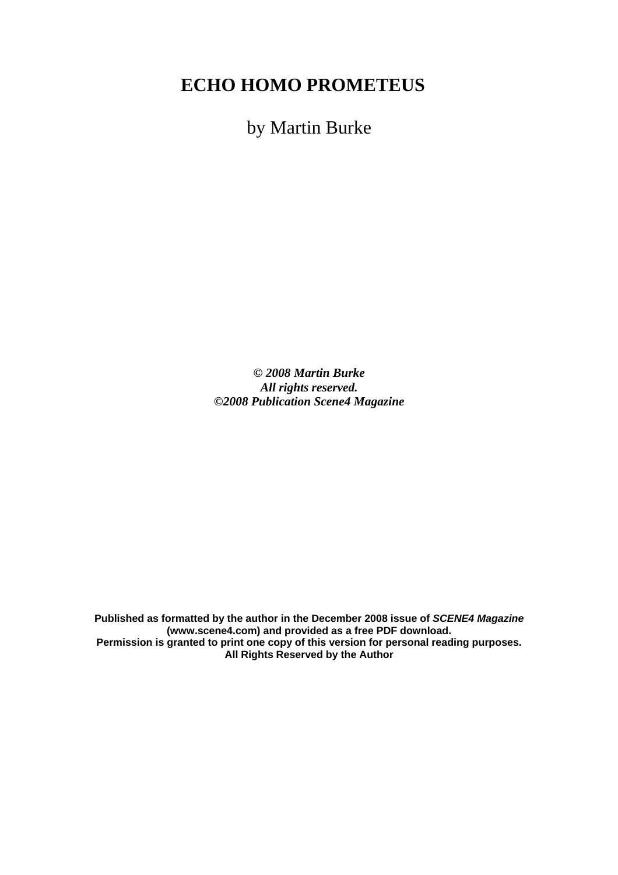## **ECHO HOMO PROMETEUS**

by Martin Burke

*© 2008 Martin Burke All rights reserved. ©2008 Publication Scene4 Magazine* 

**Published as formatted by the author in the December 2008 issue of** *SCENE4 Magazine* **(www.scene4.com) and provided as a free PDF download. Permission is granted to print one copy of this version for personal reading purposes. All Rights Reserved by the Author**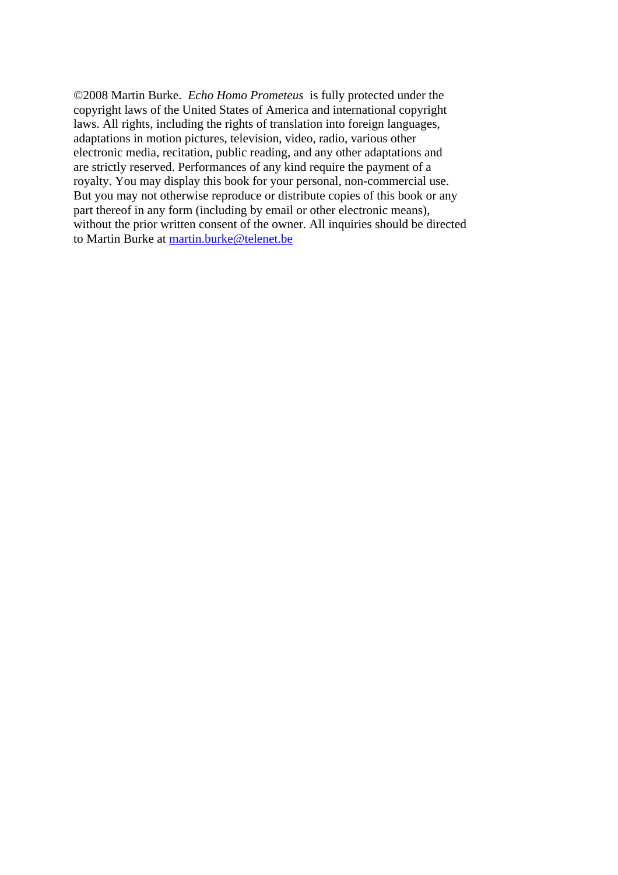©2008 Martin Burke. *Echo Homo Prometeus* is fully protected under the copyright laws of the United States of America and international copyright laws. All rights, including the rights of translation into foreign languages, adaptations in motion pictures, television, video, radio, various other electronic media, recitation, public reading, and any other adaptations and are strictly reserved. Performances of any kind require the payment of a royalty. You may display this book for your personal, non-commercial use. But you may not otherwise reproduce or distribute copies of this book or any part thereof in any form (including by email or other electronic means), without the prior written consent of the owner. All inquiries should be directed to Martin Burke at [martin.burke@telenet.be](mailto:martin.burke@telenet.be)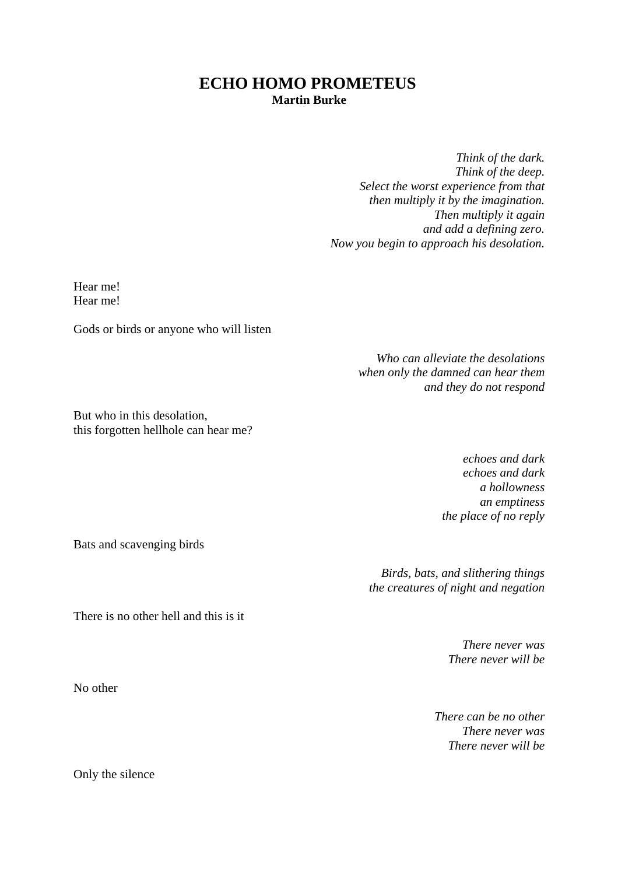## **ECHO HOMO PROMETEUS**

**Martin Burke** 

*Think of the dark. Think of the deep. Select the worst experience from that then multiply it by the imagination. Then multiply it again and add a defining zero. Now you begin to approach his desolation.* 

Hear me! Hear me!

Gods or birds or anyone who will listen

*Who can alleviate the desolations when only the damned can hear them and they do not respond* 

But who in this desolation, this forgotten hellhole can hear me?

> *echoes and dark echoes and dark a hollowness an emptiness the place of no reply*

Bats and scavenging birds

*Birds, bats, and slithering things the creatures of night and negation* 

There is no other hell and this is it

*There never was There never will be*

*There can be no other There never was There never will be*

No other

Only the silence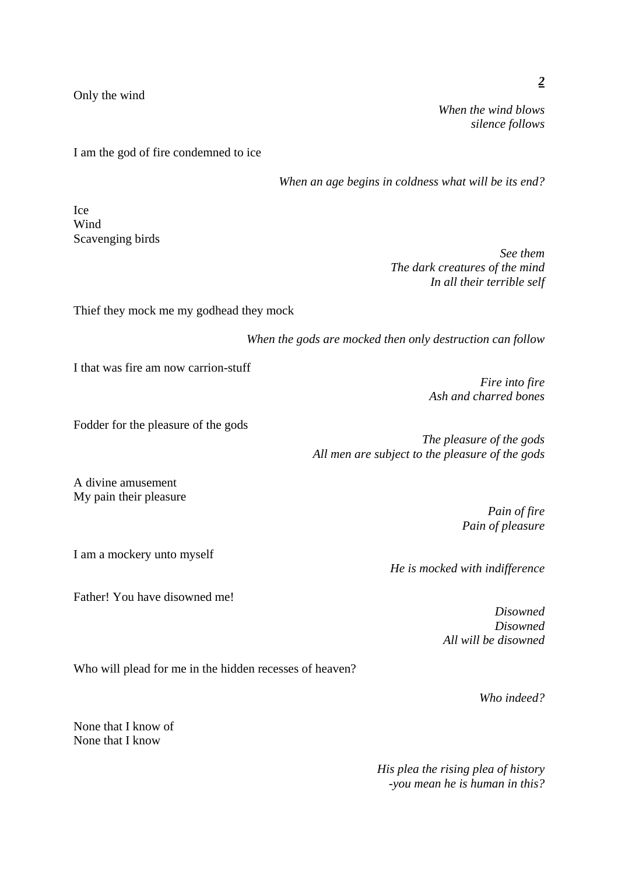Only the wind

*When the wind blows silence follows* 

I am the god of fire condemned to ice

*When an age begins in coldness what will be its end?* 

Ice Wind Scavenging birds

> *See them The dark creatures of the mind In all their terrible self*

Thief they mock me my godhead they mock

*When the gods are mocked then only destruction can follow* 

I that was fire am now carrion-stuff

*Fire into fire Ash and charred bones*

Fodder for the pleasure of the gods

*The pleasure of the gods All men are subject to the pleasure of the gods* 

A divine amusement My pain their pleasure

I am a mockery unto myself

Father! You have disowned me!

*Pain of fire Pain of pleasure*

*He is mocked with indifference* 

*Disowned Disowned All will be disowned*

Who will plead for me in the hidden recesses of heaven?

*Who indeed?* 

None that I know of None that I know

> *His plea the rising plea of history -you mean he is human in this?*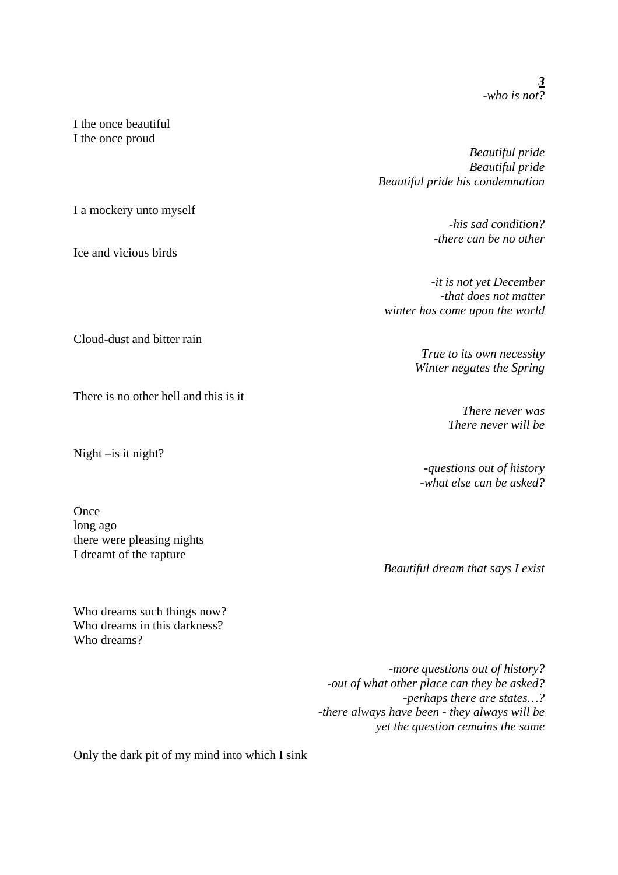I the once beautiful I the once proud

I a mockery unto myself

Ice and vicious birds

Cloud-dust and bitter rain

There is no other hell and this is it

Night –is it night?

**Once** long ago there were pleasing nights I dreamt of the rapture

Who dreams such things now? Who dreams in this darkness? Who dreams?

*Beautiful pride Beautiful pride Beautiful pride his condemnation* 

> *-his sad condition? -there can be no other*

*-it is not yet December -that does not matter winter has come upon the world*

> *True to its own necessity Winter negates the Spring*

> > *There never was There never will be*

*-questions out of history -what else can be asked?*

*Beautiful dream that says I exist* 

*-more questions out of history? -out of what other place can they be asked? -perhaps there are states…? -there always have been - they always will be yet the question remains the same*

Only the dark pit of my mind into which I sink

*3 -who is not?*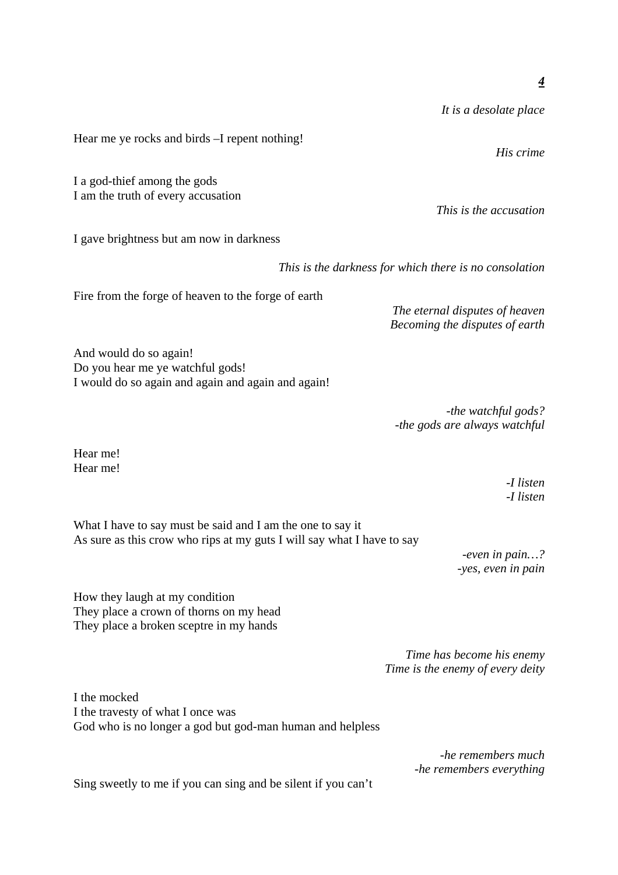*It is a desolate place* 

*This is the accusation* 

Hear me ye rocks and birds –I repent nothing!

I a god-thief among the gods I am the truth of every accusation

I gave brightness but am now in darkness

*This is the darkness for which there is no consolation* 

Fire from the forge of heaven to the forge of earth

*The eternal disputes of heaven Becoming the disputes of earth*

And would do so again! Do you hear me ye watchful gods! I would do so again and again and again and again!

> *-the watchful gods? -the gods are always watchful*

Hear me! Hear me!

> *-I listen -I listen*

What I have to say must be said and I am the one to say it As sure as this crow who rips at my guts I will say what I have to say

> *-even in pain…? -yes, even in pain*

How they laugh at my condition They place a crown of thorns on my head They place a broken sceptre in my hands

> *Time has become his enemy Time is the enemy of every deity*

I the mocked I the travesty of what I once was God who is no longer a god but god-man human and helpless

> *-he remembers much -he remembers everything*

Sing sweetly to me if you can sing and be silent if you can't

*His crime*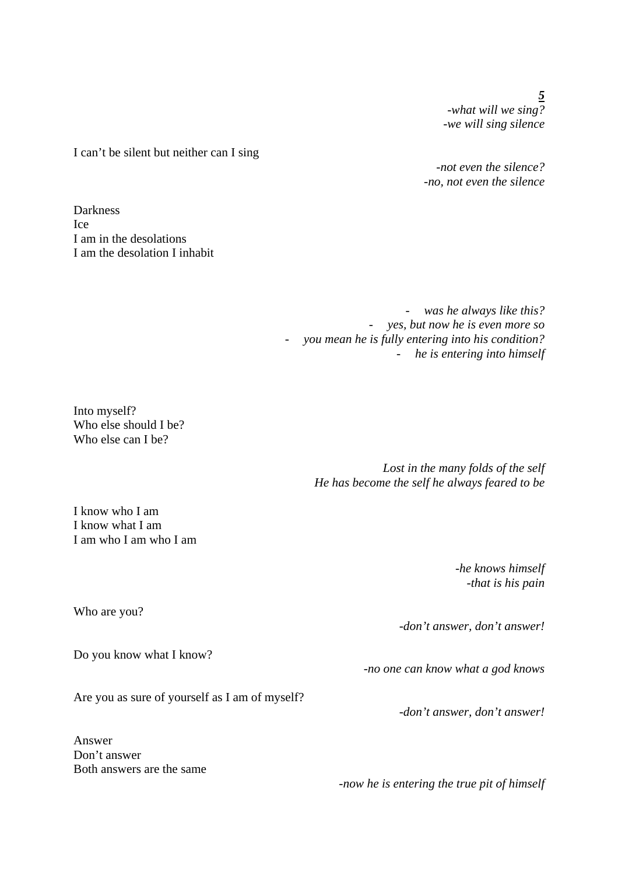*5 -what will we sing? -we will sing silence*

I can't be silent but neither can I sing

*-not even the silence? -no, not even the silence*

**Darkness** Ice I am in the desolations I am the desolation I inhabit

> - *was he always like this?*  - *yes, but now he is even more so*  - *you mean he is fully entering into his condition?*  - *he is entering into himself*

Into myself? Who else should I be? Who else can I be?

> *Lost in the many folds of the self He has become the self he always feared to be*

I know who I am I know what I am I am who I am who I am

> *-he knows himself -that is his pain*

Who are you?

Do you know what I know?

Are you as sure of yourself as I am of myself?

Answer Don't answer Both answers are the same

*-no one can know what a god knows* 

*-don't answer, don't answer!* 

*-now he is entering the true pit of himself* 

*-don't answer, don't answer!*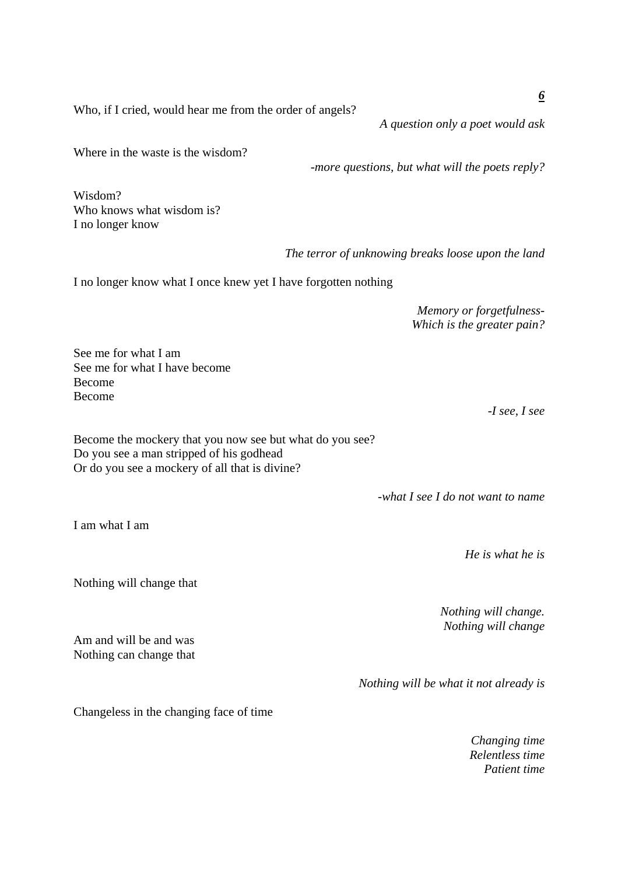Who, if I cried, would hear me from the order of angels?

*A question only a poet would ask* 

Where in the waste is the wisdom?

*-more questions, but what will the poets reply?* 

Wisdom? Who knows what wisdom is?

*The terror of unknowing breaks loose upon the land* 

I no longer know what I once knew yet I have forgotten nothing

*Memory or forgetfulness-Which is the greater pain?*

See me for what I am See me for what I have become Become Become

Become the mockery that you now see but what do you see? Do you see a man stripped of his godhead Or do you see a mockery of all that is divine?

*-what I see I do not want to name* 

*He is what he is* 

*Nothing will change. Nothing will change*

*Nothing will be what it not already is* 

Changeless in the changing face of time

*Changing time Relentless time Patient time*

I am what I am

Nothing will change that

Am and will be and was Nothing can change that

I no longer know

*-I see, I see* 

*6*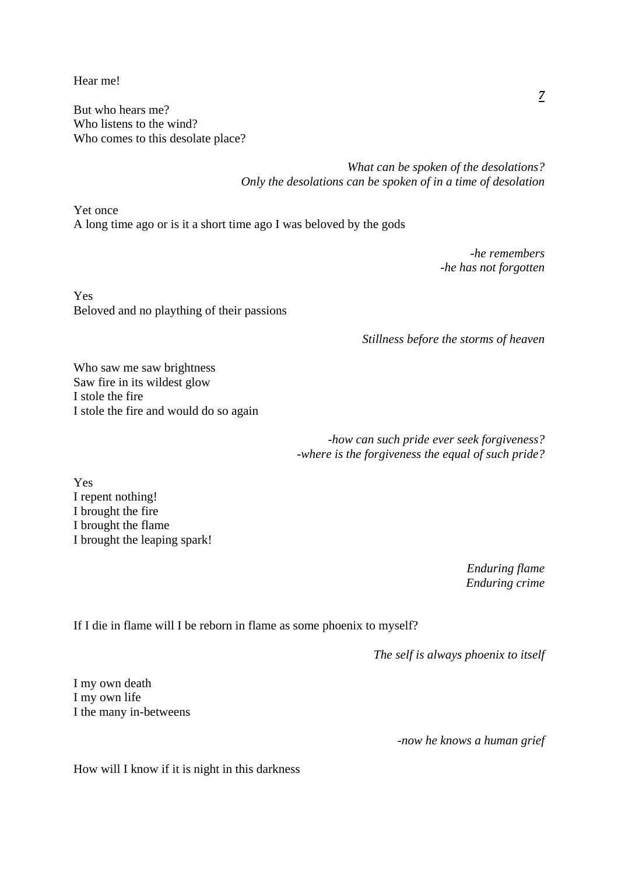Hear me!

But who hears me? Who listens to the wind? Who comes to this desolate place?

> *What can be spoken of the desolations? Only the desolations can be spoken of in a time of desolation*

Yet once A long time ago or is it a short time ago I was beloved by the gods

> *-he remembers -he has not forgotten*

Yes Beloved and no plaything of their passions

*Stillness before the storms of heaven* 

Who saw me saw brightness Saw fire in its wildest glow I stole the fire I stole the fire and would do so again

> *-how can such pride ever seek forgiveness? -where is the forgiveness the equal of such pride?*

Yes I repent nothing! I brought the fire I brought the flame I brought the leaping spark!

> *Enduring flame Enduring crime*

If I die in flame will I be reborn in flame as some phoenix to myself?

*The self is always phoenix to itself* 

I my own death I my own life I the many in-betweens

*-now he knows a human grief* 

How will I know if it is night in this darkness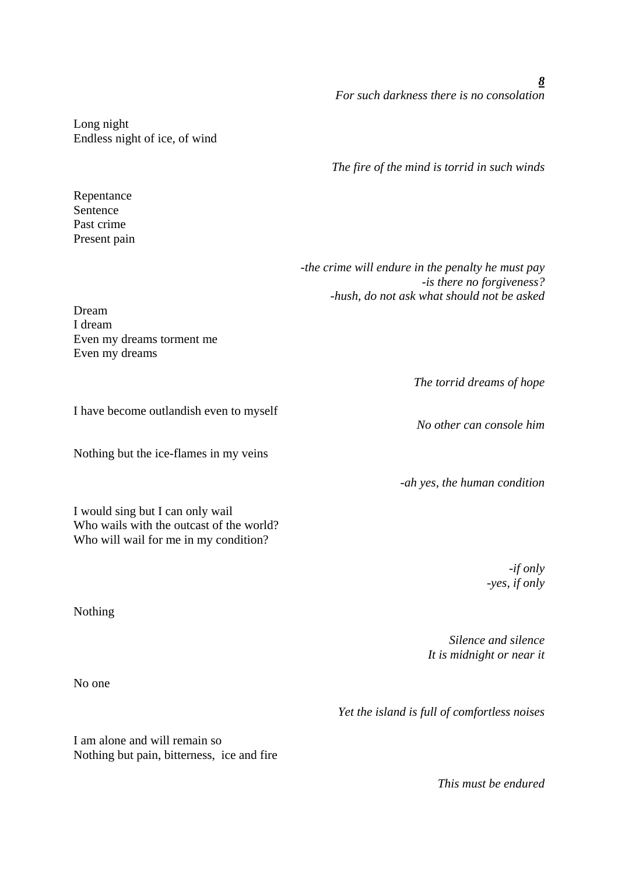*8 For such darkness there is no consolation* 

Long night Endless night of ice, of wind

Repentance Sentence Past crime Present pain *The fire of the mind is torrid in such winds* 

*-the crime will endure in the penalty he must pay -is there no forgiveness? -hush, do not ask what should not be asked*

Dream I dream Even my dreams torment me

*The torrid dreams of hope* 

*No other can console him* 

*-ah yes, the human condition* 

*-if only -yes, if only*

Nothing

*Silence and silence It is midnight or near it*

No one

*Yet the island is full of comfortless noises* 

I am alone and will remain so Nothing but pain, bitterness, ice and fire

*This must be endured* 

Even my dreams

I have become outlandish even to myself

Nothing but the ice-flames in my veins

I would sing but I can only wail Who wails with the outcast of the world? Who will wail for me in my condition?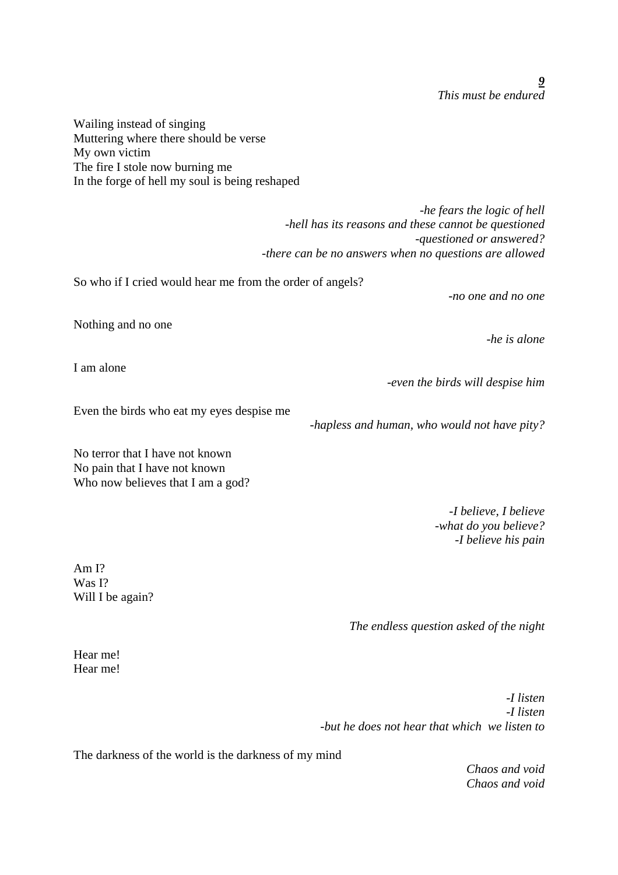Wailing instead of singing Muttering where there should be verse My own victim The fire I stole now burning me In the forge of hell my soul is being reshaped

> *-he fears the logic of hell -hell has its reasons and these cannot be questioned -questioned or answered? -there can be no answers when no questions are allowed*

So who if I cried would hear me from the order of angels?

*-no one and no one* 

*-he is alone* 

Nothing and no one

I am alone

*-even the birds will despise him* 

Even the birds who eat my eyes despise me

*-hapless and human, who would not have pity?* 

No terror that I have not known No pain that I have not known Who now believes that I am a god?

> *-I believe, I believe -what do you believe? -I believe his pain*

Am I? Was I? Will I be again?

*The endless question asked of the night* 

Hear me! Hear me!

> *-I listen -I listen -but he does not hear that which we listen to*

The darkness of the world is the darkness of my mind

*Chaos and void Chaos and void*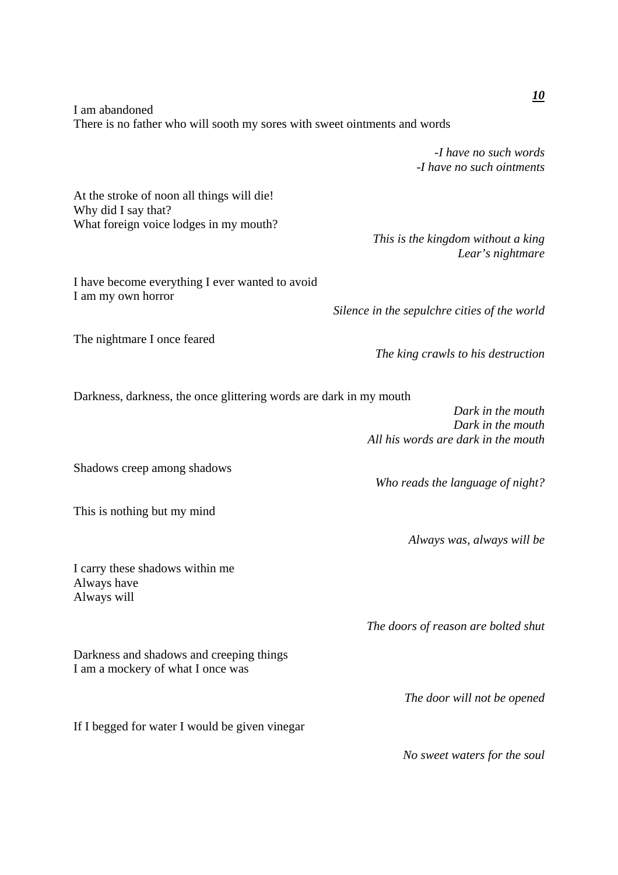I am abandoned There is no father who will sooth my sores with sweet ointments and words

> *-I have no such words -I have no such ointments*

> > *Lear's nightmare*

At the stroke of noon all things will die! Why did I say that? What foreign voice lodges in my mouth?

I have become everything I ever wanted to avoid I am my own horror

*Silence in the sepulchre cities of the world* 

*This is the kingdom without a king* 

The nightmare I once feared

Darkness, darkness, the once glittering words are dark in my mouth

*Dark in the mouth Dark in the mouth All his words are dark in the mouth*

*The king crawls to his destruction* 

*Who reads the language of night?* 

*Always was, always will be* 

*The doors of reason are bolted shut* 

*The door will not be opened* 

*No sweet waters for the soul* 

I carry these shadows within me

Always have Always will

Darkness and shadows and creeping things I am a mockery of what I once was

If I begged for water I would be given vinegar

*10*

Shadows creep among shadows

This is nothing but my mind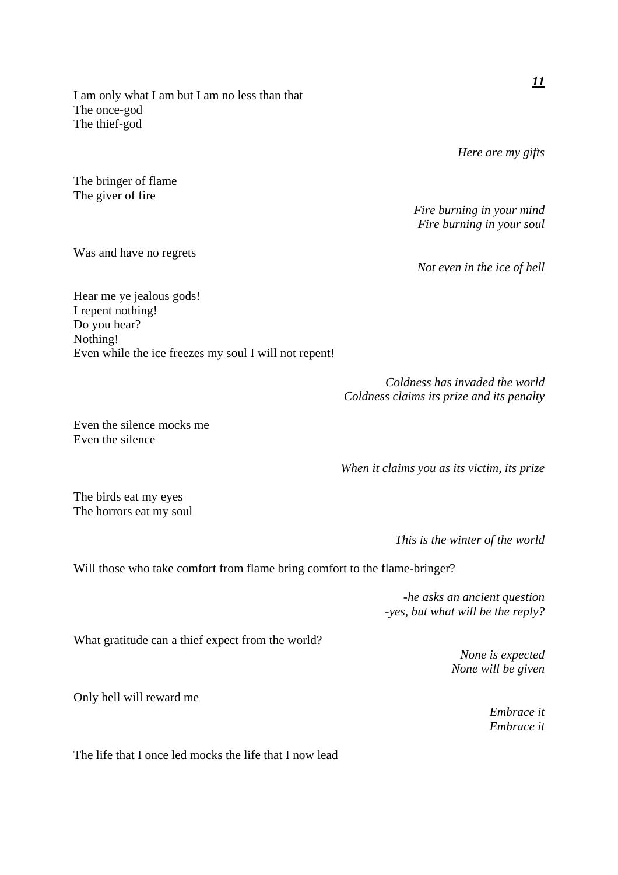I am only what I am but I am no less than that The once-god The thief-god

*Here are my gifts* 

*Fire burning in your mind Fire burning in your soul* 

*Not even in the ice of hell* 

Hear me ye jealous gods! I repent nothing! Do you hear? Nothing! Even while the ice freezes my soul I will not repent!

> *Coldness has invaded the world Coldness claims its prize and its penalty*

Even the silence mocks me Even the silence

*When it claims you as its victim, its prize* 

*This is the winter of the world* 

Will those who take comfort from flame bring comfort to the flame-bringer?

*-he asks an ancient question -yes, but what will be the reply?* 

What gratitude can a thief expect from the world?

The life that I once led mocks the life that I now lead

*None is expected None will be given*

Only hell will reward me

*Embrace it Embrace it*

The birds eat my eyes The horrors eat my soul

Was and have no regrets

The bringer of flame The giver of fire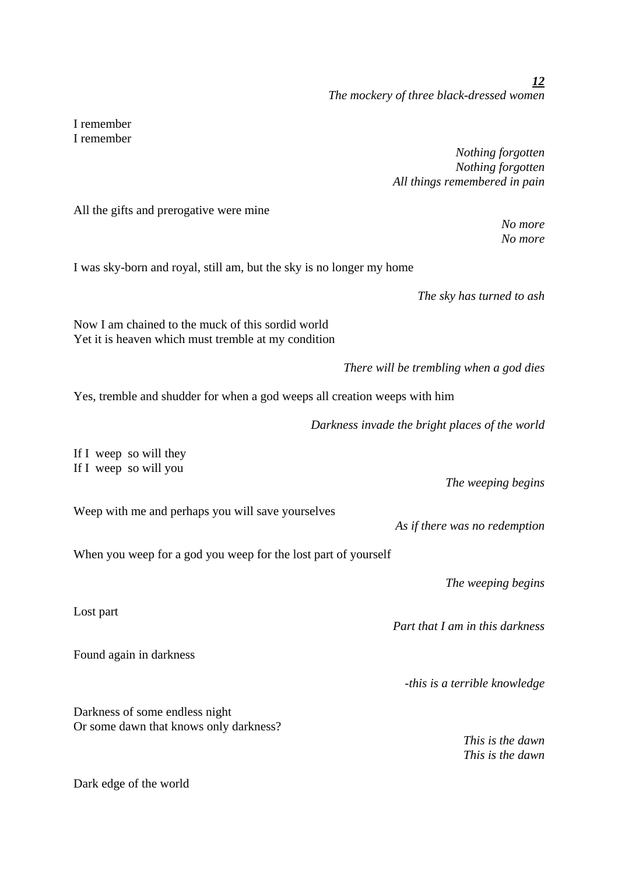I remember I remember

> *Nothing forgotten Nothing forgotten All things remembered in pain*

All the gifts and prerogative were mine

*No more No more* 

I was sky-born and royal, still am, but the sky is no longer my home

*The sky has turned to ash* 

Now I am chained to the muck of this sordid world Yet it is heaven which must tremble at my condition

*There will be trembling when a god dies* 

Yes, tremble and shudder for when a god weeps all creation weeps with him

*Darkness invade the bright places of the world* 

If I weep so will they If I weep so will you

Weep with me and perhaps you will save yourselves

When you weep for a god you weep for the lost part of yourself

*The weeping begins* 

*The weeping begins* 

*Part that I am in this darkness* 

*As if there was no redemption* 

*-this is a terrible knowledge* 

Darkness of some endless night Or some dawn that knows only darkness?

> *This is the dawn This is the dawn*

Dark edge of the world

Found again in darkness

Lost part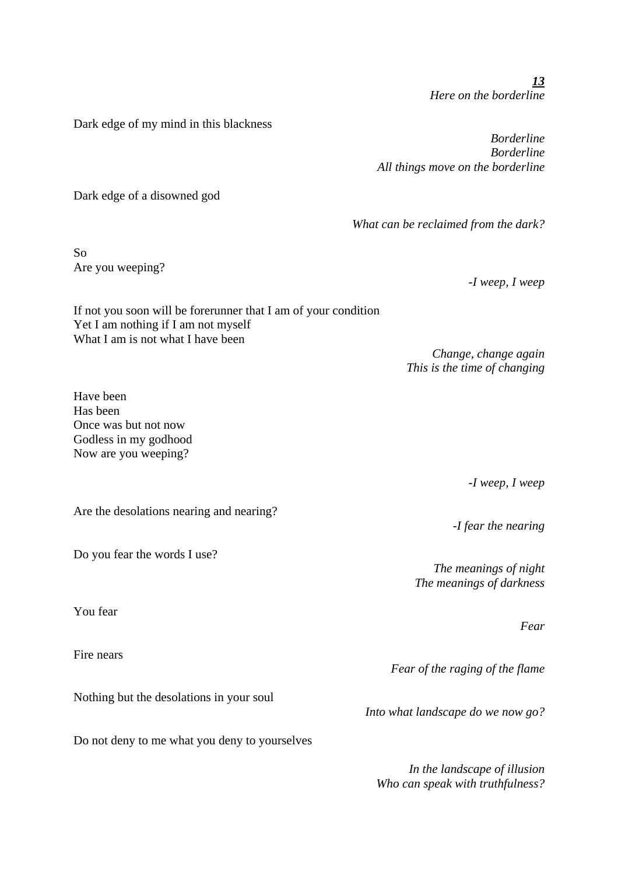*13 Here on the borderline* 

Dark edge of my mind in this blackness

*Borderline Borderline All things move on the borderline* 

*What can be reclaimed from the dark?* 

Dark edge of a disowned god

So Are you weeping?

*-I weep, I weep* 

*Change, change again This is the time of changing* 

If not you soon will be forerunner that I am of your condition Yet I am nothing if I am not myself What I am is not what I have been

Have been Has been Once was but not now Godless in my godhood Now are you weeping?

Are the desolations nearing and nearing?

Do you fear the words I use?

You fear

Fire nears

Nothing but the desolations in your soul

Do not deny to me what you deny to yourselves

*-I weep, I weep* 

*-I fear the nearing* 

*The meanings of night The meanings of darkness*

*Fear* 

*Fear of the raging of the flame* 

*Into what landscape do we now go?* 

*In the landscape of illusion Who can speak with truthfulness?*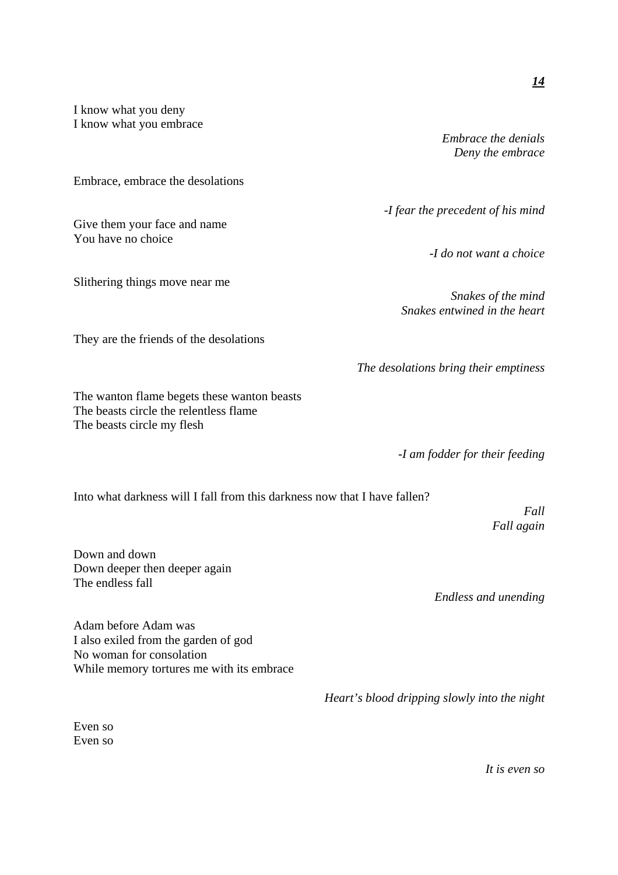I know what you deny I know what you embrace

Embrace, embrace the desolations

Give them your face and name You have no choice

Slithering things move near me

They are the friends of the desolations

The wanton flame begets these wanton beasts The beasts circle the relentless flame The beasts circle my flesh

Into what darkness will I fall from this darkness now that I have fallen?

Down and down Down deeper then deeper again The endless fall

*Endless and unending* 

Adam before Adam was I also exiled from the garden of god No woman for consolation While memory tortures me with its embrace

*Heart's blood dripping slowly into the night* 

Even so Even so *Embrace the denials Deny the embrace*

*-I fear the precedent of his mind* 

*-I do not want a choice* 

*Snakes of the mind Snakes entwined in the heart* 

*The desolations bring their emptiness* 

*-I am fodder for their feeding* 

*Fall again* 

*Fall* 

*It is even so*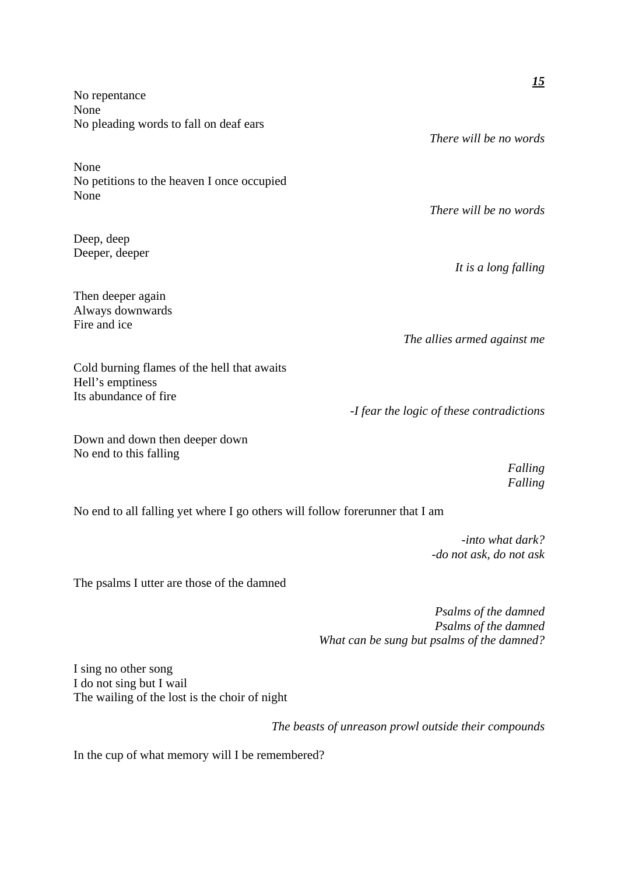|                                                                              | <u>15</u>                                 |
|------------------------------------------------------------------------------|-------------------------------------------|
| No repentance<br>None                                                        |                                           |
| No pleading words to fall on deaf ears                                       | There will be no words                    |
| None                                                                         |                                           |
| No petitions to the heaven I once occupied<br>None                           |                                           |
|                                                                              | There will be no words                    |
| Deep, deep                                                                   |                                           |
| Deeper, deeper                                                               | It is a long falling                      |
| Then deeper again                                                            |                                           |
| Always downwards<br>Fire and ice                                             |                                           |
|                                                                              | The allies armed against me               |
| Cold burning flames of the hell that awaits<br>Hell's emptiness              |                                           |
| Its abundance of fire                                                        |                                           |
|                                                                              | -I fear the logic of these contradictions |
| Down and down then deeper down<br>No end to this falling                     |                                           |
|                                                                              | Falling<br>Falling                        |
| No end to all falling yet where I go others will follow forerunner that I am |                                           |

*-into what dark? -do not ask, do not ask*

The psalms I utter are those of the damned

*Psalms of the damned Psalms of the damned What can be sung but psalms of the damned?* 

I sing no other song I do not sing but I wail The wailing of the lost is the choir of night

*The beasts of unreason prowl outside their compounds* 

In the cup of what memory will I be remembered?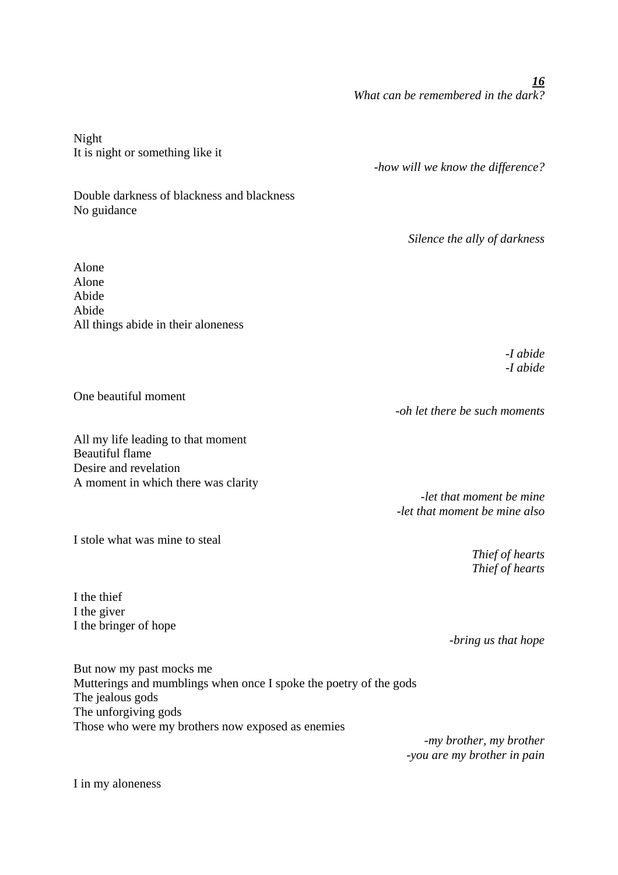*16 What can be remembered in the dark?* 

Night It is night or something like it

Double darkness of blackness and blackness No guidance

Alone Alone Abide Abide All things abide in their aloneness

> *-I abide -I abide*

One beautiful moment

All my life leading to that moment Beautiful flame Desire and revelation A moment in which there was clarity

I stole what was mine to steal

I the thief I the giver I the bringer of hope

*-let that moment be mine -let that moment be mine also* 

> *Thief of hearts Thief of hearts*

*-bring us that hope* 

But now my past mocks me Mutterings and mumblings when once I spoke the poetry of the gods The jealous gods The unforgiving gods Those who were my brothers now exposed as enemies

*-my brother, my brother -you are my brother in pain* 

I in my aloneness

*-oh let there be such moments* 

*-how will we know the difference?* 

*Silence the ally of darkness*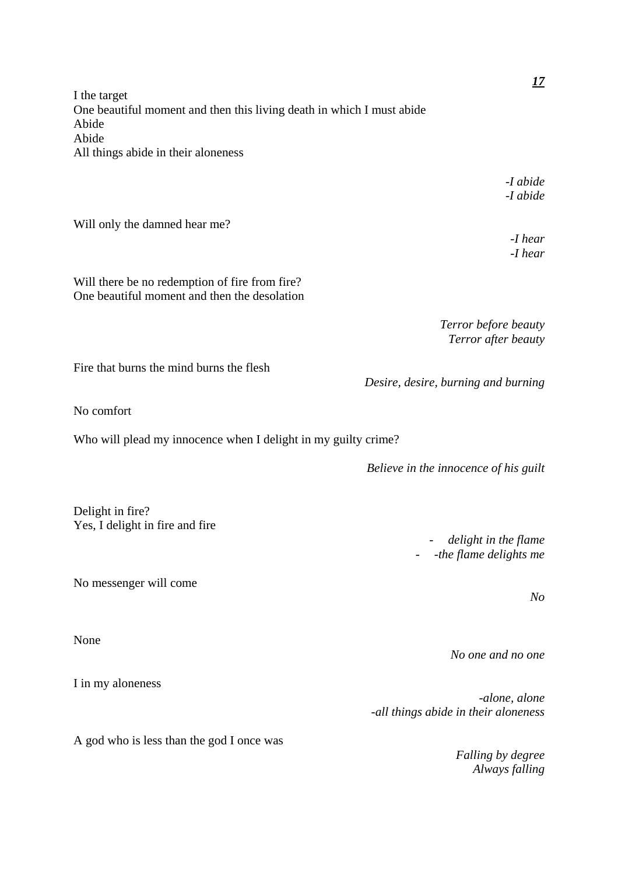I the target One beautiful moment and then this living death in which I must abide Abide Abide All things abide in their aloneness

> *-I abide -I abide*

> > *-I hear -I hear*

Will only the damned hear me?

Will there be no redemption of fire from fire? One beautiful moment and then the desolation

> *Terror before beauty Terror after beauty*

Fire that burns the mind burns the flesh

No comfort

Who will plead my innocence when I delight in my guilty crime?

*Believe in the innocence of his guilt* 

*Desire, desire, burning and burning* 

Delight in fire? Yes, I delight in fire and fire

No messenger will come

None

I in my aloneness

A god who is less than the god I once was

- *delight in the flame*  - *-the flame delights me*

*No* 

*No one and no one* 

*-alone, alone -all things abide in their aloneness*

> *Falling by degree Always falling*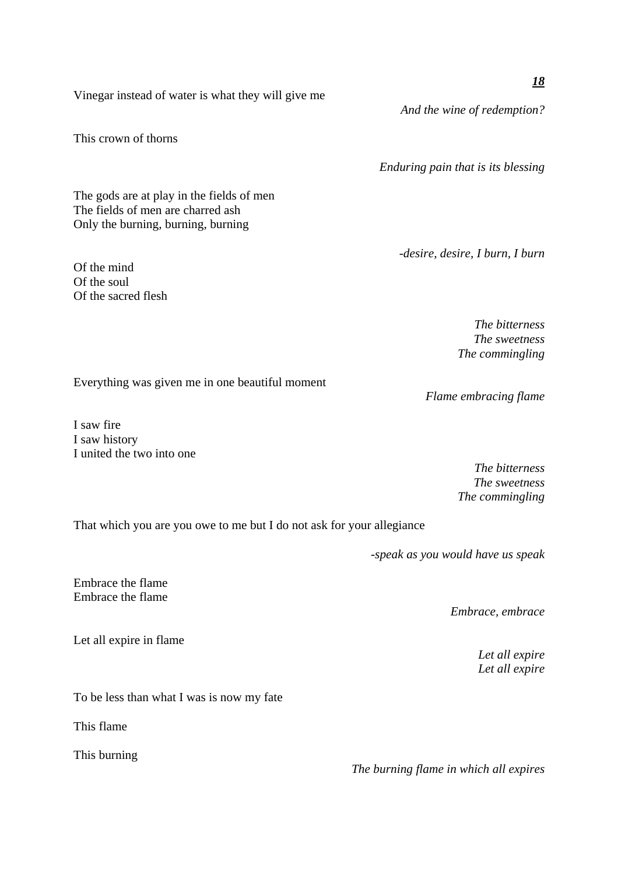Vinegar instead of water is what they will give me

This crown of thorns

The gods are at play in the fields of men The fields of men are charred ash Only the burning, burning, burning

Of the mind Of the soul Of the sacred flesh *-desire, desire, I burn, I burn* 

*The bitterness The sweetness The commingling* 

*Flame embracing flame* 

Everything was given me in one beautiful moment

I saw fire I saw history I united the two into one

> *The bitterness The sweetness The commingling*

That which you are you owe to me but I do not ask for your allegiance

*-speak as you would have us speak* 

Embrace the flame Embrace the flame

Let all expire in flame

To be less than what I was is now my fate

This flame

This burning

*The burning flame in which all expires* 

*Embrace, embrace* 

*Let all expire Let all expire*

*And the wine of redemption?* 

*Enduring pain that is its blessing*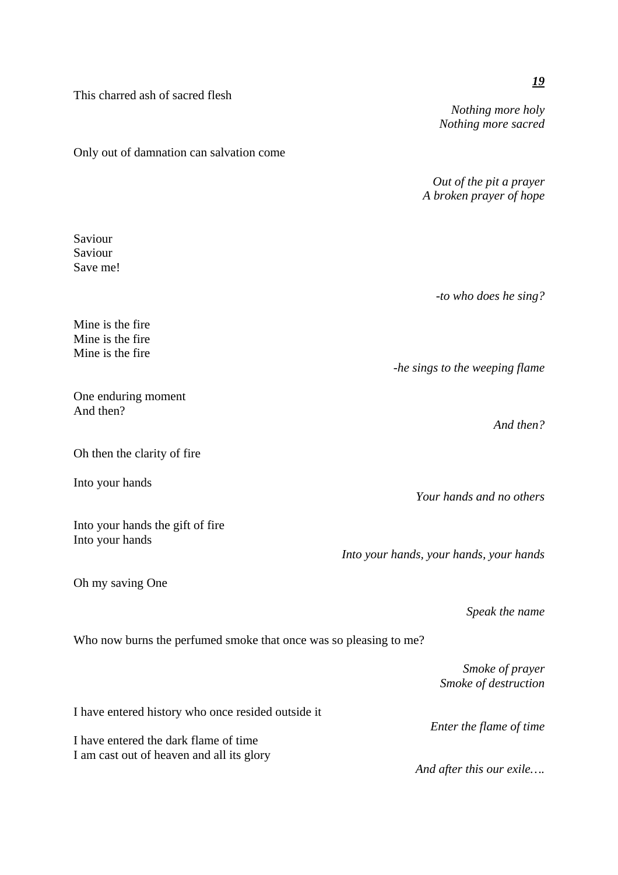This charred ash of sacred flesh *Nothing more holy Nothing more sacred*  Only out of damnation can salvation come *Out of the pit a prayer A broken prayer of hope*  Saviour Saviour Save me! *-to who does he sing?*  Mine is the fire Mine is the fire Mine is the fire *-he sings to the weeping flame*  One enduring moment And then? *And then?*  Oh then the clarity of fire Into your hands *Your hands and no others*  Into your hands the gift of fire Into your hands *Into your hands, your hands, your hands*  Oh my saving One *Speak the name*  Who now burns the perfumed smoke that once was so pleasing to me? *Smoke of prayer Smoke of destruction*  I have entered history who once resided outside it *Enter the flame of time*  I have entered the dark flame of time I am cast out of heaven and all its glory *And after this our exile….*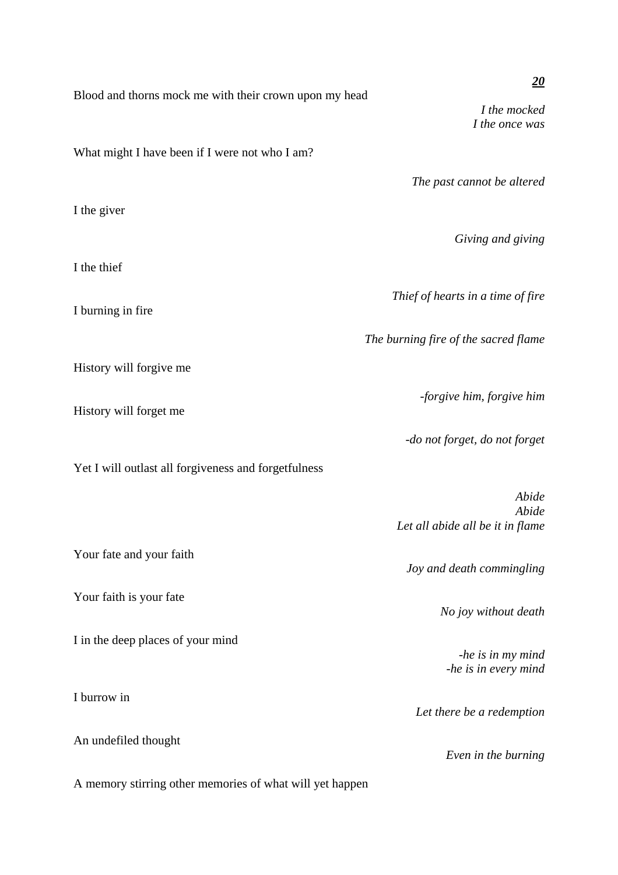|                                                          | 20                                   |
|----------------------------------------------------------|--------------------------------------|
| Blood and thorns mock me with their crown upon my head   | I the mocked                         |
|                                                          | I the once was                       |
| What might I have been if I were not who I am?           |                                      |
|                                                          | The past cannot be altered           |
|                                                          |                                      |
| I the giver                                              |                                      |
|                                                          | Giving and giving                    |
| I the thief                                              |                                      |
|                                                          |                                      |
| I burning in fire                                        | Thief of hearts in a time of fire    |
|                                                          |                                      |
|                                                          | The burning fire of the sacred flame |
| History will forgive me                                  |                                      |
|                                                          | -forgive him, forgive him            |
| History will forget me                                   |                                      |
|                                                          | -do not forget, do not forget        |
| Yet I will outlast all forgiveness and forgetfulness     |                                      |
|                                                          | Abide                                |
|                                                          | Abide                                |
|                                                          | Let all abide all be it in flame     |
| Your fate and your faith                                 |                                      |
|                                                          | Joy and death commingling            |
| Your faith is your fate                                  | No joy without death                 |
|                                                          |                                      |
| I in the deep places of your mind                        | -he is in my mind                    |
|                                                          | -he is in every mind                 |
| I burrow in                                              |                                      |
|                                                          | Let there be a redemption            |
| An undefiled thought                                     |                                      |
|                                                          | Even in the burning                  |
| A memory stirring other memories of what will yet happen |                                      |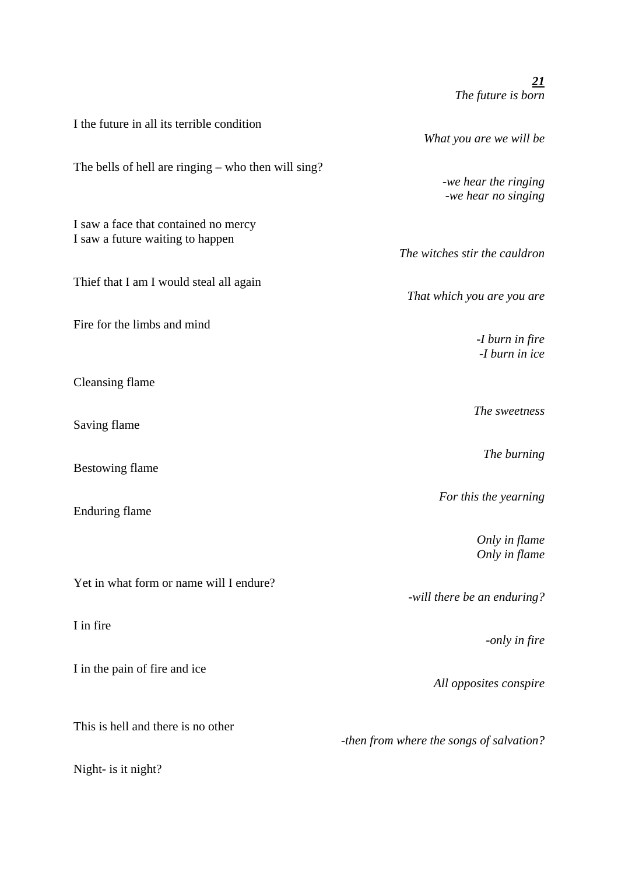| I the future in all its terrible condition                               | What you are we will be                     |
|--------------------------------------------------------------------------|---------------------------------------------|
| The bells of hell are ringing $-$ who then will sing?                    | -we hear the ringing<br>-we hear no singing |
| I saw a face that contained no mercy<br>I saw a future waiting to happen | The witches stir the cauldron               |
| Thief that I am I would steal all again                                  | That which you are you are                  |
| Fire for the limbs and mind                                              | -I burn in fire<br>-I burn in ice           |
| <b>Cleansing flame</b>                                                   |                                             |
| Saving flame                                                             | The sweetness                               |
| <b>Bestowing flame</b>                                                   | The burning                                 |
| <b>Enduring flame</b>                                                    | For this the yearning                       |
|                                                                          | Only in flame<br>Only in flame              |
| Yet in what form or name will I endure?                                  | -will there be an enduring?                 |
| I in fire                                                                | -only in fire                               |
| I in the pain of fire and ice                                            | All opposites conspire                      |
| This is hell and there is no other                                       | -then from where the songs of salvation?    |
| Night- is it night?                                                      |                                             |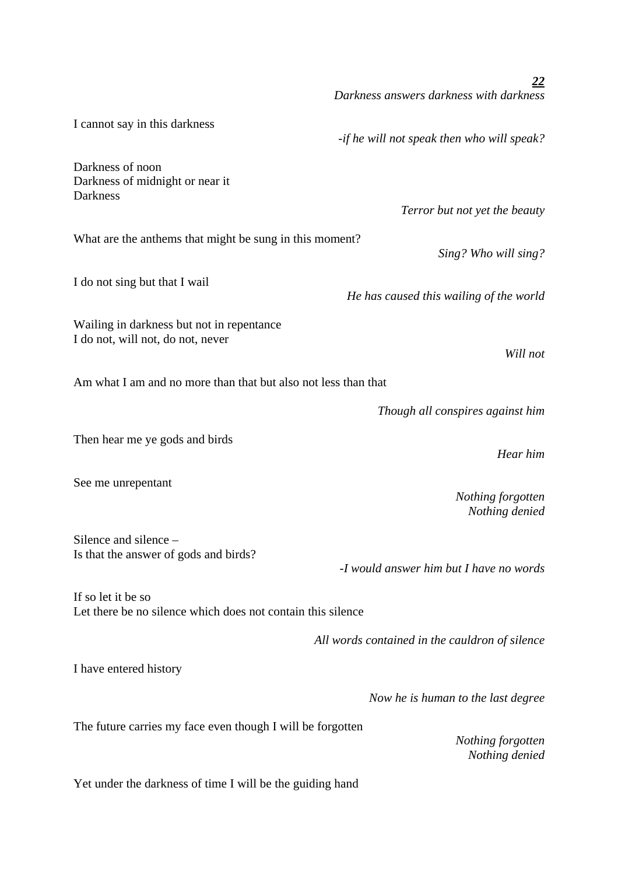|                                                                                   | 22<br>Darkness answers darkness with darkness  |
|-----------------------------------------------------------------------------------|------------------------------------------------|
| I cannot say in this darkness                                                     | -if he will not speak then who will speak?     |
| Darkness of noon<br>Darkness of midnight or near it                               |                                                |
| Darkness                                                                          | Terror but not yet the beauty                  |
| What are the anthems that might be sung in this moment?                           | Sing? Who will sing?                           |
| I do not sing but that I wail                                                     | He has caused this wailing of the world        |
| Wailing in darkness but not in repentance<br>I do not, will not, do not, never    | Will not                                       |
| Am what I am and no more than that but also not less than that                    |                                                |
|                                                                                   | Though all conspires against him               |
| Then hear me ye gods and birds                                                    | Hear him                                       |
| See me unrepentant                                                                | Nothing forgotten<br>Nothing denied            |
| Silence and silence<br>Is that the answer of gods and birds?                      | -I would answer him but I have no words        |
| If so let it be so<br>Let there be no silence which does not contain this silence |                                                |
|                                                                                   | All words contained in the cauldron of silence |
| I have entered history                                                            |                                                |
|                                                                                   | Now he is human to the last degree             |
| The future carries my face even though I will be forgotten                        | Nothing forgotten<br>Nothing denied            |
| Yet under the darkness of time I will be the guiding hand                         |                                                |